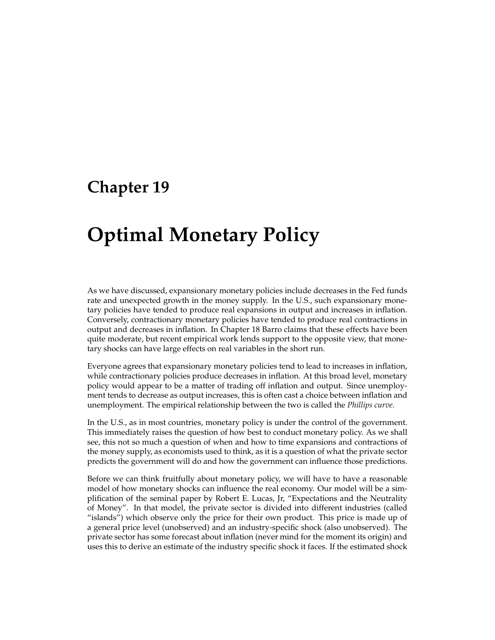## **Chapter 19**

# **Optimal Monetary Policy**

As we have discussed, expansionary monetary policies include decreases in the Fed funds rate and unexpected growth in the money supply. In the U.S., such expansionary monetary policies have tended to produce real expansions in output and increases in inflation. Conversely, contractionary monetary policies have tended to produce real contractions in output and decreases in inflation. In Chapter 18 Barro claims that these effects have been quite moderate, but recent empirical work lends support to the opposite view, that monetary shocks can have large effects on real variables in the short run.

Everyone agrees that expansionary monetary policies tend to lead to increases in inflation, while contractionary policies produce decreases in inflation. At this broad level, monetary policy would appear to be a matter of trading off inflation and output. Since unemployment tends to decrease as output increases, this is often cast a choice between inflation and unemployment. The empirical relationship between the two is called the *Phillips curve.*

In the U.S., as in most countries, monetary policy is under the control of the government. This immediately raises the question of how best to conduct monetary policy. As we shall see, this not so much a question of when and how to time expansions and contractions of the money supply, as economists used to think, as it is a question of what the private sector predicts the government will do and how the government can influence those predictions.

Before we can think fruitfully about monetary policy, we will have to have a reasonable model of how monetary shocks can influence the real economy. Our model will be a simplification of the seminal paper by Robert E. Lucas, Jr, "Expectations and the Neutrality of Money". In that model, the private sector is divided into different industries (called "islands") which observe only the price for their own product. This price is made up of a general price level (unobserved) and an industry-specific shock (also unobserved). The private sector has some forecast about inflation (never mind for the moment its origin) and uses this to derive an estimate of the industry specific shock it faces. If the estimated shock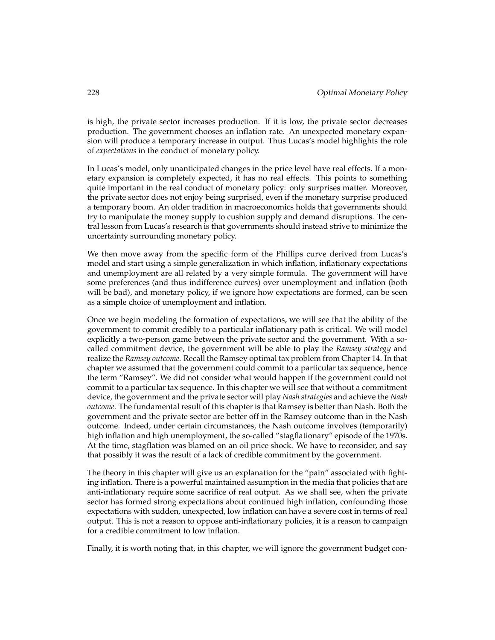is high, the private sector increases production. If it is low, the private sector decreases production. The government chooses an inflation rate. An unexpected monetary expansion will produce a temporary increase in output. Thus Lucas's model highlights the role of *expectations* in the conduct of monetary policy.

In Lucas's model, only unanticipated changes in the price level have real effects. If a monetary expansion is completely expected, it has no real effects. This points to something quite important in the real conduct of monetary policy: only surprises matter. Moreover, the private sector does not enjoy being surprised, even if the monetary surprise produced a temporary boom. An older tradition in macroeconomics holds that governments should try to manipulate the money supply to cushion supply and demand disruptions. The central lesson from Lucas's research is that governments should instead strive to minimize the uncertainty surrounding monetary policy.

We then move away from the specific form of the Phillips curve derived from Lucas's model and start using a simple generalization in which inflation, inflationary expectations and unemployment are all related by a very simple formula. The government will have some preferences (and thus indifference curves) over unemployment and inflation (both will be bad), and monetary policy, if we ignore how expectations are formed, can be seen as a simple choice of unemployment and inflation.

Once we begin modeling the formation of expectations, we will see that the ability of the government to commit credibly to a particular inflationary path is critical. We will model explicitly a two-person game between the private sector and the government. With a socalled commitment device, the government will be able to play the *Ramsey strategy* and realize the *Ramsey outcome.* Recall the Ramsey optimal tax problem from Chapter 14. In that chapter we assumed that the government could commit to a particular tax sequence, hence the term "Ramsey". We did not consider what would happen if the government could not commit to a particular tax sequence. In this chapter we will see that without a commitment device, the government and the private sector will play *Nash strategies* and achieve the *Nash outcome.* The fundamental result of this chapter is that Ramsey is better than Nash. Both the government and the private sector are better off in the Ramsey outcome than in the Nash outcome. Indeed, under certain circumstances, the Nash outcome involves (temporarily) high inflation and high unemployment, the so-called "stagflationary" episode of the 1970s. At the time, stagflation was blamed on an oil price shock. We have to reconsider, and say that possibly it was the result of a lack of credible commitment by the government.

The theory in this chapter will give us an explanation for the "pain" associated with fighting inflation. There is a powerful maintained assumption in the media that policies that are anti-inflationary require some sacrifice of real output. As we shall see, when the private sector has formed strong expectations about continued high inflation, confounding those expectations with sudden, unexpected, low inflation can have a severe cost in terms of real output. This is not a reason to oppose anti-inflationary policies, it is a reason to campaign for a credible commitment to low inflation.

Finally, it is worth noting that, in this chapter, we will ignore the government budget con-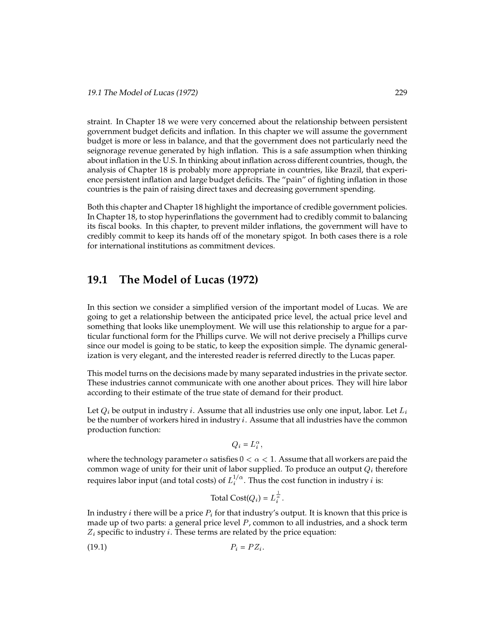straint. In Chapter 18 we were very concerned about the relationship between persistent government budget deficits and inflation. In this chapter we will assume the government budget is more or less in balance, and that the government does not particularly need the seignorage revenue generated by high inflation. This is a safe assumption when thinking about inflation in the U.S. In thinking about inflation across different countries, though, the analysis of Chapter 18 is probably more appropriate in countries, like Brazil, that experience persistent inflation and large budget deficits. The "pain" of fighting inflation in those countries is the pain of raising direct taxes and decreasing government spending.

Both this chapter and Chapter 18 highlight the importance of credible government policies. In Chapter 18, to stop hyperinflations the government had to credibly commit to balancing its fiscal books. In this chapter, to prevent milder inflations, the government will have to credibly commit to keep its hands off of the monetary spigot. In both cases there is a role for international institutions as commitment devices.

## **19.1 The Model of Lucas (1972)**

In this section we consider a simplified version of the important model of Lucas. We are going to get a relationship between the anticipated price level, the actual price level and something that looks like unemployment. We will use this relationship to argue for a particular functional form for the Phillips curve. We will not derive precisely a Phillips curve since our model is going to be static, to keep the exposition simple. The dynamic generalization is very elegant, and the interested reader is referred directly to the Lucas paper.

This model turns on the decisions made by many separated industries in the private sector. These industries cannot communicate with one another about prices. They will hire labor according to their estimate of the true state of demand for their product.

Let  $Q_i$  be output in industry i. Assume that all industries use only one input, labor. Let  $L_i$ be the number of workers hired in industry i. Assume that all industries have the common production function:

$$
Q_i = L_i^{\alpha},
$$

where the technology parameter  $\alpha$  satisfies  $0 < \alpha < 1$ . Assume that all workers are paid the common wage of unity for their unit of labor supplied. To produce an output  $Q_i$  therefore requires labor input (and total costs) of  $L^{1/\alpha}_i$ . Thus the cost function in industry  $i$  is:

Total Cost(
$$
Q_i
$$
) =  $L_i^{\frac{1}{\alpha}}$ .

i

In industry *i* there will be a price  $P_i$  for that industry's output. It is known that this price is made up of two parts: a general price level  $P$ , common to all industries, and a shock term  $Z_i$  specific to industry *i*. These terms are related by the price equation:

$$
(19.1) \t\t\t P_i = P Z_i.
$$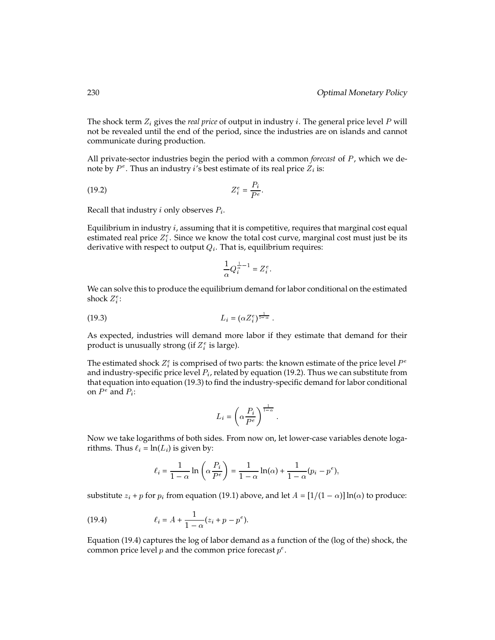The shock term  $Z_i$  gives the *real price* of output in industry  $i$ . The general price level  $P$  will not be revealed until the end of the period, since the industries are on islands and cannot communicate during production.

All private-sector industries begin the period with a common *forecast* of P, which we denote by  $P^e.$  Thus an industry  $i^{\prime}$ s best estimate of its real price  $Z_i$  is:

$$
(19.2) \t\t Z_i^e = \frac{P_i}{P^e}.
$$

Recall that industry *i* only observes  $P_i$ .

Equilibrium in industry  $i$ , assuming that it is competitive, requires that marginal cost equal estimated real price  $Z_i^e$ . Since we know the total cost curve, marginal cost must just be its derivative with respect to output  $Q_i$ . That is, equilibrium requires:

$$
\frac{1}{\alpha}Q_i^{\frac{1}{\alpha}-1} = Z_i^e.
$$

We can solve this to produce the equilibrium demand for labor conditional on the estimated shock  $Z^e_i$ : i

(19.3) 
$$
L_i = (\alpha Z_i^e)^{\frac{1}{1-\alpha}}.
$$

i

As expected, industries will demand more labor if they estimate that demand for their product is unusually strong (if  $Z_i^e$  is large).

The estimated shock  $Z_i^e$  is comprised of two parts: the known estimate of the price level  $P^e$ iand industry-specific price level  $P_i$ , related by equation (19.2). Thus we can substitute from that equation into equation (19.3) to find the industry-specific demand for labor conditional on  $P^e$  and  $P_i$ :

$$
L_i = \left(\alpha \frac{P_i}{P^e}\right)^{\frac{1}{1-\alpha}}.
$$

Now we take logarithms of both sides. From now on, let lower-case variables denote logarithms. Thus  $\ell_i = \ln(L_i)$  is given by:

$$
\ell_i = \frac{1}{1-\alpha} \ln \left( \alpha \frac{P_i}{P^e} \right) = \frac{1}{1-\alpha} \ln(\alpha) + \frac{1}{1-\alpha} (p_i - p^e),
$$

substitute  $z_i + p$  for  $p_i$  from equation (19.1) above, and let  $A = [1/(1 - \alpha)] \ln(\alpha)$  to produce:

(19.4) 
$$
\ell_i = A + \frac{1}{1 - \alpha} (z_i + p - p^e).
$$

Equation (19.4) captures the log of labor demand as a function of the (log of the) shock, the common price level  $p$  and the common price forecast  $p^e.$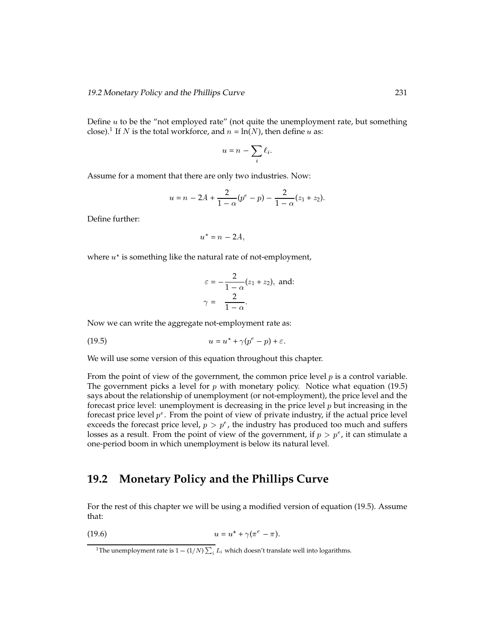Define  $u$  to be the "not employed rate" (not quite the unemployment rate, but something close).<sup>1</sup> If N is the total workforce, and  $n = \ln(N)$ , then define u as:

$$
u=n-\sum_i \ell_i.
$$

Assume for a moment that there are only two industries. Now:

$$
u = n - 2A + \frac{2}{1 - \alpha}(p^{e} - p) - \frac{2}{1 - \alpha}(z_1 + z_2).
$$

Define further:

$$
u^* = n - 2A,
$$

where  $u^\star$  is something like the natural rate of not-employment,

$$
\varepsilon = -\frac{2}{1-\alpha}(z_1 + z_2), \text{ and:}
$$

$$
\gamma = \frac{2}{1-\alpha}.
$$

Now we can write the aggregate not-employment rate as:

$$
(19.5) \t\t u = u^* + \gamma (p^e - p) + \varepsilon.
$$

We will use some version of this equation throughout this chapter.

From the point of view of the government, the common price level  $p$  is a control variable. The government picks a level for  $p$  with monetary policy. Notice what equation (19.5) says about the relationship of unemployment (or not-employment), the price level and the forecast price level: unemployment is decreasing in the price level  $p$  but increasing in the forecast price level  $p^e$ . From the point of view of private industry, if the actual price level exceeds the forecast price level,  $p > p^e$ , the industry has produced too much and suffers losses as a result. From the point of view of the government, if  $p>p^e$ , it can stimulate a one-period boom in which unemployment is below its natural level.

## **19.2 Monetary Policy and the Phillips Curve**

For the rest of this chapter we will be using a modified version of equation (19.5). Assume that:

(19.6)  $u = u^* + \gamma(\pi^e - \pi).$ 

<sup>&</sup>lt;sup>1</sup>The unemployment rate is 1 – (1/N)  $\sum_i L_i$  which doesn't translate well into logarithms.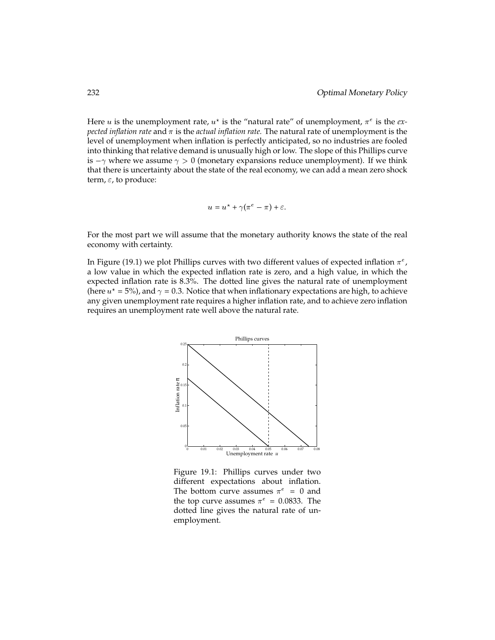Here *u* is the unemployment rate,  $u^*$  is the "natural rate" of unemployment,  $\pi^e$  is the  $ex$ *pected inflation rate* and  $\pi$  is the *actual inflation rate*. The natural rate of unemployment is the level of unemployment when inflation is perfectly anticipated, so no industries are fooled into thinking that relative demand is unusually high or low. The slope of this Phillips curve is  $-\gamma$  where we assume  $\gamma > 0$  (monetary expansions reduce unemployment). If we think that there is uncertainty about the state of the real economy, we can add a mean zero shock term,  $\varepsilon$ , to produce:

$$
u = u^* + \gamma(\pi^e - \pi) + \varepsilon.
$$

For the most part we will assume that the monetary authority knows the state of the real economy with certainty.

In Figure (19.1) we plot Phillips curves with two different values of expected inflation  $\pi^e$ , a low value in which the expected inflation rate is zero, and a high value, in which the expected inflation rate is 8.3%. The dotted line gives the natural rate of unemployment (here  $u^\star$  = 5%), and  $\gamma$  = 0.3. Notice that when inflationary expectations are high, to achieve any given unemployment rate requires a higher inflation rate, and to achieve zero inflation requires an unemployment rate well above the natural rate.



Figure 19.1: Phillips curves under two different expectations about inflation. The bottom curve assumes  $\pi^e = 0$  and the top curve assumes  $\pi^e = 0.0833$ . The dotted line gives the natural rate of unemployment.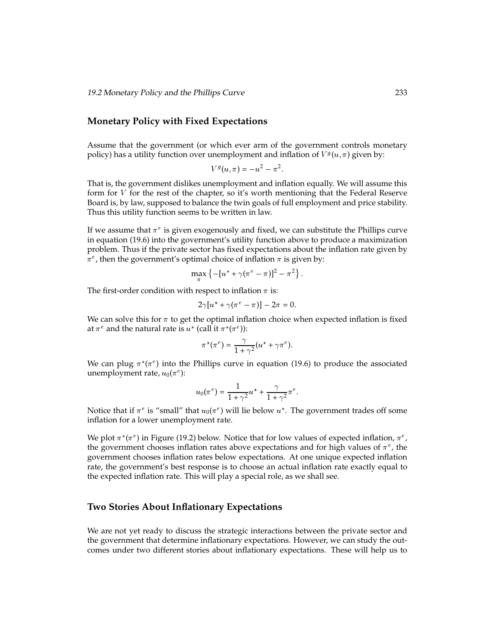#### **Monetary Policy with Fixed Expectations**

Assume that the government (or which ever arm of the government controls monetary policy) has a utility function over unemployment and inflation of  $V^g(u, \pi)$  given by:

$$
V^g(u,\pi)=-u^2-\pi^2.
$$

That is, the government dislikes unemployment and inflation equally. We will assume this form for  $V$  for the rest of the chapter, so it's worth mentioning that the Federal Reserve Board is, by law, supposed to balance the twin goals of full employment and price stability. Thus this utility function seems to be written in law.

If we assume that  $\pi^e$  is given exogenously and fixed, we can substitute the Phillips curve in equation (19.6) into the government's utility function above to produce a maximization problem. Thus if the private sector has fixed expectations about the inflation rate given by  $\pi^e$ , then the government's optimal choice of inflation  $\pi$  is given by:

$$
\max_{\pi}\left\{-\left[u^{\star}+\gamma(\pi^e-\pi)\right]^2-\pi^2\right\}.
$$

The first-order condition with respect to inflation  $\pi$  is:

..

$$
2\gamma[u^* + \gamma(\pi^e - \pi)] - 2\pi = 0.
$$

We can solve this for  $\pi$  to get the optimal inflation choice when expected inflation is fixed at  $\pi^e$  and the natural rate is  $u^\star$  (call it  $\pi^\star(\pi^e)$ ):

$$
\pi^*(\pi^e) = \frac{\gamma}{1 + \gamma^2} (u^* + \gamma \pi^e).
$$

We can plug  $\pi^*(\pi^e)$  into the Phillips curve in equation (19.6) to produce the associated unemployment rate,  $u_0(\pi^e)$ :

$$
u_0(\pi^e) = \frac{1}{1+\gamma^2}u^* + \frac{\gamma}{1+\gamma^2}\pi^e.
$$

Notice that if  $\pi^e$  is "small" that  $u_0(\pi^e)$  will lie below  $u^\star$ . The government trades off some inflation for a lower unemployment rate.

We plot  $\pi^\star(\pi^e)$  in Figure (19.2) below. Notice that for low values of expected inflation,  $\pi^e$ , the government chooses inflation rates above expectations and for high values of  $\pi^e$ , the government chooses inflation rates below expectations. At one unique expected inflation rate, the government's best response is to choose an actual inflation rate exactly equal to the expected inflation rate. This will play a special role, as we shall see.

#### **Two Stories About Inflationary Expectations**

We are not yet ready to discuss the strategic interactions between the private sector and the government that determine inflationary expectations. However, we can study the outcomes under two different stories about inflationary expectations. These will help us to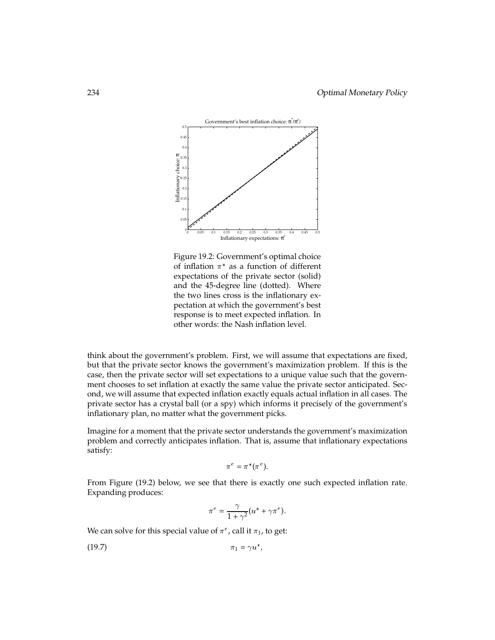

Figure 19.2: Government's optimal choice of inflation  $\pi^\star$  as a function of different expectations of the private sector (solid) and the 45-degree line (dotted). Where the two lines cross is the inflationary expectation at which the government's best response is to meet expected inflation. In other words: the Nash inflation level.

think about the government's problem. First, we will assume that expectations are fixed, but that the private sector knows the government's maximization problem. If this is the case, then the private sector will set expectations to a unique value such that the government chooses to set inflation at exactly the same value the private sector anticipated. Second, we will assume that expected inflation exactly equals actual inflation in all cases. The private sector has a crystal ball (or a spy) which informs it precisely of the government's inflationary plan, no matter what the government picks.

Imagine for a moment that the private sector understands the government's maximization problem and correctly anticipates inflation. That is, assume that inflationary expectations satisfy:

$$
\pi^e = \pi^\star(\pi^e).
$$

From Figure (19.2) below, we see that there is exactly one such expected inflation rate. Expanding produces:

$$
\pi^e = \frac{\gamma}{1 + \gamma^2} (u^* + \gamma \pi^e).
$$

We can solve for this special value of  $\pi^e$  , call it  $\pi_1$ , to get:

$$
\pi_1 = \gamma u^\star,
$$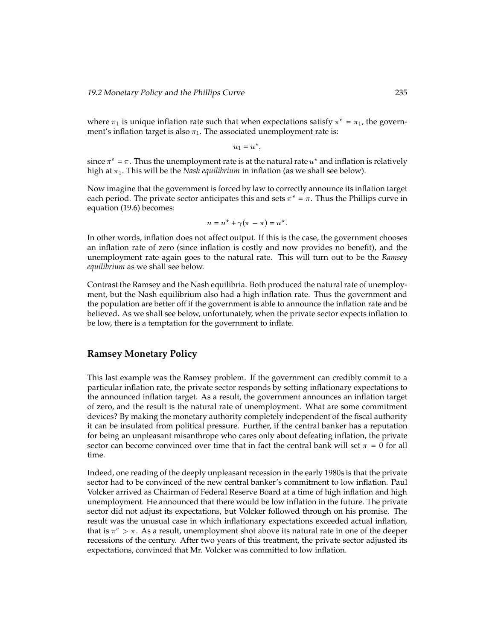where  $\pi_1$  is unique inflation rate such that when expectations satisfy  $\pi^e = \pi_1$ , the government's inflation target is also  $\pi_1$ . The associated unemployment rate is:

> $u_1 = u^*$ ;

since  $\pi^e=\pi.$  Thus the unemployment rate is at the natural rate  $u^\star$  and inflation is relatively high at  $\pi_1$ . This will be the *Nash equilibrium* in inflation (as we shall see below).

Now imagine that the government is forced by law to correctly announce its inflation target each period. The private sector anticipates this and sets  $\pi^e = \pi$ . Thus the Phillips curve in equation (19.6) becomes:

$$
u = u^* + \gamma(\pi - \pi) = u^*.
$$

In other words, inflation does not affect output. If this is the case, the government chooses an inflation rate of zero (since inflation is costly and now provides no benefit), and the unemployment rate again goes to the natural rate. This will turn out to be the *Ramsey equilibrium* as we shall see below.

Contrast the Ramsey and the Nash equilibria. Both produced the natural rate of unemployment, but the Nash equilibrium also had a high inflation rate. Thus the government and the population are better off if the government is able to announce the inflation rate and be believed. As we shall see below, unfortunately, when the private sector expects inflation to be low, there is a temptation for the government to inflate.

#### **Ramsey Monetary Policy**

This last example was the Ramsey problem. If the government can credibly commit to a particular inflation rate, the private sector responds by setting inflationary expectations to the announced inflation target. As a result, the government announces an inflation target of zero, and the result is the natural rate of unemployment. What are some commitment devices? By making the monetary authority completely independent of the fiscal authority it can be insulated from political pressure. Further, if the central banker has a reputation for being an unpleasant misanthrope who cares only about defeating inflation, the private sector can become convinced over time that in fact the central bank will set  $\pi = 0$  for all time.

Indeed, one reading of the deeply unpleasant recession in the early 1980s is that the private sector had to be convinced of the new central banker's commitment to low inflation. Paul Volcker arrived as Chairman of Federal Reserve Board at a time of high inflation and high unemployment. He announced that there would be low inflation in the future. The private sector did not adjust its expectations, but Volcker followed through on his promise. The result was the unusual case in which inflationary expectations exceeded actual inflation, that is  $\pi^e > \pi$ . As a result, unemployment shot above its natural rate in one of the deeper recessions of the century. After two years of this treatment, the private sector adjusted its expectations, convinced that Mr. Volcker was committed to low inflation.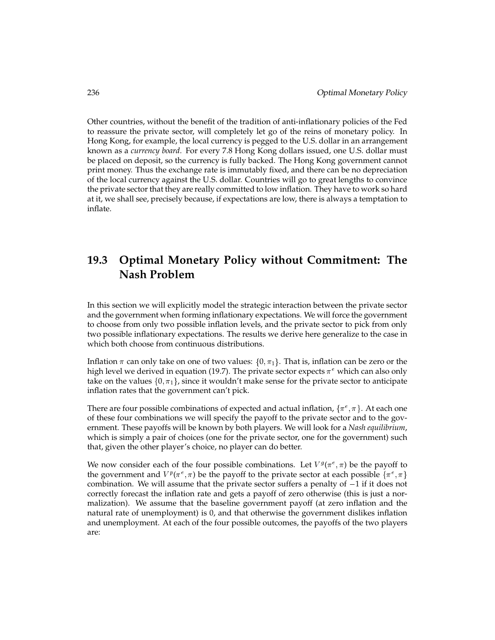Other countries, without the benefit of the tradition of anti-inflationary policies of the Fed to reassure the private sector, will completely let go of the reins of monetary policy. In Hong Kong, for example, the local currency is pegged to the U.S. dollar in an arrangement known as a *currency board.* For every 7.8 Hong Kong dollars issued, one U.S. dollar must be placed on deposit, so the currency is fully backed. The Hong Kong government cannot print money. Thus the exchange rate is immutably fixed, and there can be no depreciation of the local currency against the U.S. dollar. Countries will go to great lengths to convince the private sector that they are really committed to low inflation. They have to work so hard at it, we shall see, precisely because, if expectations are low, there is always a temptation to inflate.

## **19.3 Optimal Monetary Policy without Commitment: The Nash Problem**

In this section we will explicitly model the strategic interaction between the private sector and the government when forming inflationary expectations. We will force the government to choose from only two possible inflation levels, and the private sector to pick from only two possible inflationary expectations. The results we derive here generalize to the case in which both choose from continuous distributions.

Inflation  $\pi$  can only take on one of two values:  $\{0, \pi_1\}$ . That is, inflation can be zero or the high level we derived in equation (19.7). The private sector expects  $\pi^e$  which can also only take on the values  $\{0, \pi_1\}$ , since it wouldn't make sense for the private sector to anticipate inflation rates that the government can't pick.

There are four possible combinations of expected and actual inflation,  $\{\pi^e, \pi\}$ . At each one of these four combinations we will specify the payoff to the private sector and to the government. These payoffs will be known by both players. We will look for a *Nash equilibrium*, which is simply a pair of choices (one for the private sector, one for the government) such that, given the other player's choice, no player can do better.

We now consider each of the four possible combinations. Let  $V^g(\pi^e, \pi)$  be the payoff to the government and  $V^p(\pi^e, \pi)$  be the payoff to the private sector at each possible  $\{\pi^e, \pi\}$ combination. We will assume that the private sector suffers a penalty of  $-1$  if it does not correctly forecast the inflation rate and gets a payoff of zero otherwise (this is just a normalization). We assume that the baseline government payoff (at zero inflation and the natural rate of unemployment) is 0, and that otherwise the government dislikes inflation and unemployment. At each of the four possible outcomes, the payoffs of the two players are: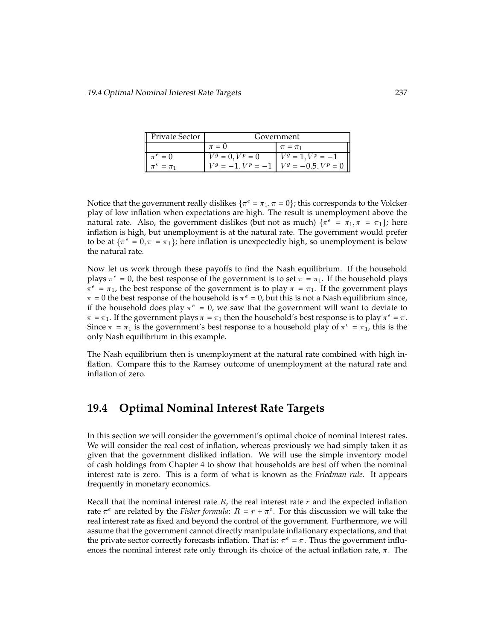| Private Sector         | Government           |                       |
|------------------------|----------------------|-----------------------|
|                        | $\pi = 0$            | $\pi = \pi_1$         |
| $\mathbf{I} \pi^e = 0$ | $V^g = 0, V^p = 0$   | $V^g = 1, V^p = -1$   |
| $\pi^e = \pi_1$        | $V^g = -1, V^p = -1$ | $V^g = -0.5, V^p = 0$ |

Notice that the government really dislikes  $\{\pi^e = \pi_1, \pi = 0\}$ ; this corresponds to the Volcker play of low inflation when expectations are high. The result is unemployment above the natural rate. Also, the government dislikes (but not as much)  $\{\pi^e = \pi_1, \pi = \pi_1\}$ ; here inflation is high, but unemployment is at the natural rate. The government would prefer to be at  $\{\pi^e = 0, \pi = \pi_1\}$ ; here inflation is unexpectedly high, so unemployment is below the natural rate.

Now let us work through these payoffs to find the Nash equilibrium. If the household plays  $\pi^e = 0$ , the best response of the government is to set  $\pi = \pi_1$ . If the household plays  $\pi^e = \pi_1$ , the best response of the government is to play  $\pi = \pi_1$ . If the government plays  $\pi$  = 0 the best response of the household is  $\pi^e$  = 0, but this is not a Nash equilibrium since, if the household does play  $\pi^e$  = 0, we saw that the government will want to deviate to  $\pi = \pi_1$ . If the government plays  $\pi = \pi_1$  then the household's best response is to play  $\pi^e = \pi$ . Since  $\pi = \pi_1$  is the government's best response to a household play of  $\pi^e = \pi_1$ , this is the only Nash equilibrium in this example.

The Nash equilibrium then is unemployment at the natural rate combined with high inflation. Compare this to the Ramsey outcome of unemployment at the natural rate and inflation of zero.

## **19.4 Optimal Nominal Interest Rate Targets**

In this section we will consider the government's optimal choice of nominal interest rates. We will consider the real cost of inflation, whereas previously we had simply taken it as given that the government disliked inflation. We will use the simple inventory model of cash holdings from Chapter 4 to show that households are best off when the nominal interest rate is zero. This is a form of what is known as the *Friedman rule.* It appears frequently in monetary economics.

Recall that the nominal interest rate  $R$ , the real interest rate  $r$  and the expected inflation rate  $\pi^e$  are related by the *Fisher formula*:  $R = r + \pi^e$ . For this discussion we will take the real interest rate as fixed and beyond the control of the government. Furthermore, we will assume that the government cannot directly manipulate inflationary expectations, and that the private sector correctly forecasts inflation. That is:  $\pi^e = \pi$ . Thus the government influences the nominal interest rate only through its choice of the actual inflation rate,  $\pi$ . The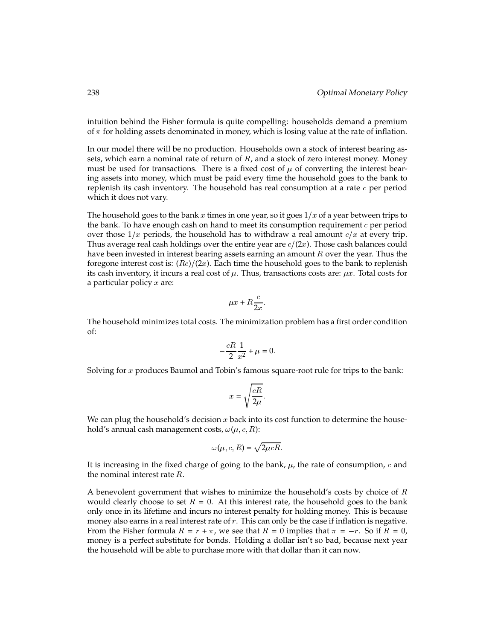intuition behind the Fisher formula is quite compelling: households demand a premium of  $\pi$  for holding assets denominated in money, which is losing value at the rate of inflation.

In our model there will be no production. Households own a stock of interest bearing assets, which earn a nominal rate of return of  $R$ , and a stock of zero interest money. Money must be used for transactions. There is a fixed cost of  $\mu$  of converting the interest bearing assets into money, which must be paid every time the household goes to the bank to replenish its cash inventory. The household has real consumption at a rate  $c$  per period which it does not vary.

The household goes to the bank x times in one year, so it goes  $1/x$  of a year between trips to the bank. To have enough cash on hand to meet its consumption requirement  $c$  per period over those  $1/x$  periods, the household has to withdraw a real amount  $c/x$  at every trip. Thus average real cash holdings over the entire year are  $c/(2x)$ . Those cash balances could have been invested in interest bearing assets earning an amount  $R$  over the year. Thus the foregone interest cost is:  $(Re)/(2x)$ . Each time the household goes to the bank to replenish its cash inventory, it incurs a real cost of  $\mu$ . Thus, transactions costs are:  $\mu x$ . Total costs for a particular policy  $x$  are:

$$
\mu x + R \frac{c}{2x}.
$$

The household minimizes total costs. The minimization problem has a first order condition of:

$$
-\frac{cR}{2}\frac{1}{x^2} + \mu = 0.
$$

Solving for x produces Baumol and Tobin's famous square-root rule for trips to the bank:

$$
x = \sqrt{\frac{cR}{2\mu}}.
$$

We can plug the household's decision  $x$  back into its cost function to determine the household's annual cash management costs,  $\omega(\mu, c, R)$ :

$$
\omega(\mu, c, R) = \sqrt{2\mu cR}.
$$

It is increasing in the fixed charge of going to the bank,  $\mu$ , the rate of consumption,  $c$  and the nominal interest rate  $R$ .

A benevolent government that wishes to minimize the household's costs by choice of  $R$ would clearly choose to set  $R = 0$ . At this interest rate, the household goes to the bank only once in its lifetime and incurs no interest penalty for holding money. This is because money also earns in a real interest rate of  $r$ . This can only be the case if inflation is negative. From the Fisher formula  $R = r + \pi$ , we see that  $R = 0$  implies that  $\pi = -r$ . So if  $R = 0$ , money is a perfect substitute for bonds. Holding a dollar isn't so bad, because next year the household will be able to purchase more with that dollar than it can now.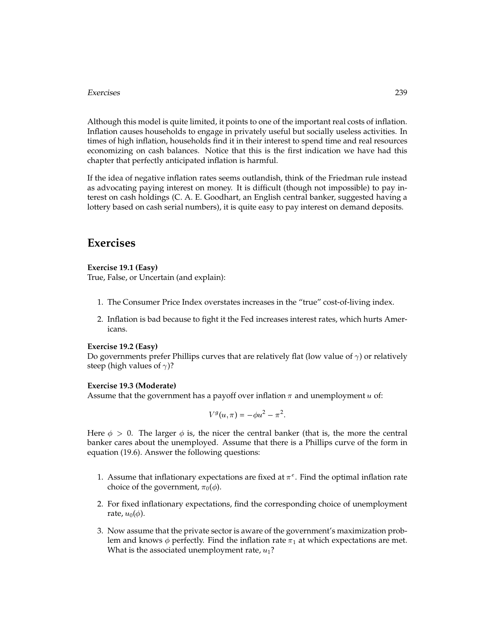#### Exercises 239

Although this model is quite limited, it points to one of the important real costs of inflation. Inflation causes households to engage in privately useful but socially useless activities. In times of high inflation, households find it in their interest to spend time and real resources economizing on cash balances. Notice that this is the first indication we have had this chapter that perfectly anticipated inflation is harmful.

If the idea of negative inflation rates seems outlandish, think of the Friedman rule instead as advocating paying interest on money. It is difficult (though not impossible) to pay interest on cash holdings (C. A. E. Goodhart, an English central banker, suggested having a lottery based on cash serial numbers), it is quite easy to pay interest on demand deposits.

### **Exercises**

#### **Exercise 19.1 (Easy)**

True, False, or Uncertain (and explain):

- 1. The Consumer Price Index overstates increases in the "true" cost-of-living index.
- 2. Inflation is bad because to fight it the Fed increases interest rates, which hurts Americans.

#### **Exercise 19.2 (Easy)**

Do governments prefer Phillips curves that are relatively flat (low value of  $\gamma$ ) or relatively steep (high values of  $\gamma$ )?

#### **Exercise 19.3 (Moderate)**

Assume that the government has a payoff over inflation  $\pi$  and unemployment  $u$  of:

$$
V^g(u,\pi)=-\phi u^2-\pi^2.
$$

Here  $\phi > 0$ . The larger  $\phi$  is, the nicer the central banker (that is, the more the central banker cares about the unemployed. Assume that there is a Phillips curve of the form in equation (19.6). Answer the following questions:

- 1. Assume that inflationary expectations are fixed at  $\pi^e$ . Find the optimal inflation rate choice of the government,  $\pi_0(\phi)$ .
- 2. For fixed inflationary expectations, find the corresponding choice of unemployment rate,  $u_0(\phi)$ .
- 3. Now assume that the private sector is aware of the government's maximization problem and knows  $\phi$  perfectly. Find the inflation rate  $\pi_1$  at which expectations are met. What is the associated unemployment rate,  $u_1$ ?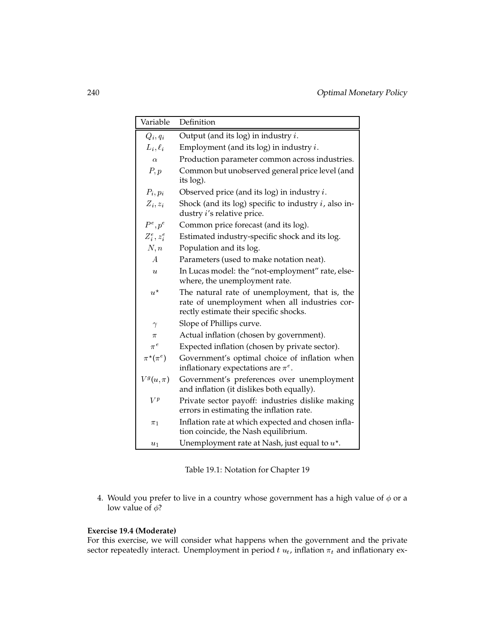| Variable             | Definition                                                                                                                                |
|----------------------|-------------------------------------------------------------------------------------------------------------------------------------------|
| $Q_i, q_i$           | Output (and its $log$ ) in industry <i>i</i> .                                                                                            |
| $L_i, \ell_i$        | Employment (and its log) in industry $i$ .                                                                                                |
| $\alpha$             | Production parameter common across industries.                                                                                            |
| P, p                 | Common but unobserved general price level (and<br>its log).                                                                               |
| $P_i, p_i$           | Observed price (and its $log$ ) in industry <i>i</i> .                                                                                    |
| $Z_i, z_i$           | Shock (and its log) specific to industry $i$ , also in-<br>dustry <i>i's</i> relative price.                                              |
| $P^e, p^e$           | Common price forecast (and its log).                                                                                                      |
| $Z_i^e, z_i^e$       | Estimated industry-specific shock and its log.                                                                                            |
| N, n                 | Population and its log.                                                                                                                   |
| $\overline{A}$       | Parameters (used to make notation neat).                                                                                                  |
| $\boldsymbol{u}$     | In Lucas model: the "not-employment" rate, else-<br>where, the unemployment rate.                                                         |
| $u^{\star}$          | The natural rate of unemployment, that is, the<br>rate of unemployment when all industries cor-<br>rectly estimate their specific shocks. |
| $\gamma$             | Slope of Phillips curve.                                                                                                                  |
| π                    | Actual inflation (chosen by government).                                                                                                  |
| $\pi^e$              | Expected inflation (chosen by private sector).                                                                                            |
| $\pi^{\star}(\pi^e)$ | Government's optimal choice of inflation when<br>inflationary expectations are $\pi^e$ .                                                  |
| $V^g(u,\pi)$         | Government's preferences over unemployment<br>and inflation (it dislikes both equally).                                                   |
| $V^p$                | Private sector payoff: industries dislike making<br>errors in estimating the inflation rate.                                              |
| $\pi_1$              | Inflation rate at which expected and chosen infla-<br>tion coincide, the Nash equilibrium.                                                |
| $u_1$                | Unemployment rate at Nash, just equal to $u^*$ .                                                                                          |

Table 19.1: Notation for Chapter 19

4. Would you prefer to live in a country whose government has a high value of  $\phi$  or a low value of  $\phi$ ?

#### **Exercise 19.4 (Moderate)**

For this exercise, we will consider what happens when the government and the private sector repeatedly interact. Unemployment in period  $t$   $u_t$ , inflation  $\pi_t$  and inflationary ex-